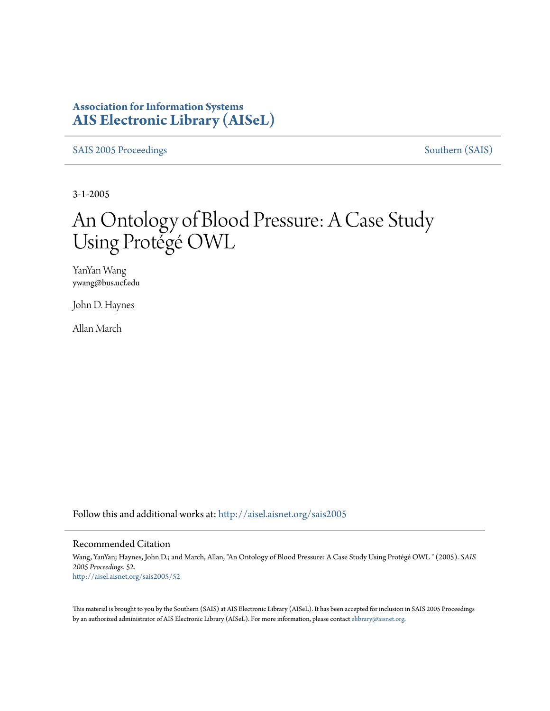#### **Association for Information Systems [AIS Electronic Library \(AISeL\)](http://aisel.aisnet.org?utm_source=aisel.aisnet.org%2Fsais2005%2F52&utm_medium=PDF&utm_campaign=PDFCoverPages)**

[SAIS 2005 Proceedings](http://aisel.aisnet.org/sais2005?utm_source=aisel.aisnet.org%2Fsais2005%2F52&utm_medium=PDF&utm_campaign=PDFCoverPages) [Southern \(SAIS\)](http://aisel.aisnet.org/sais?utm_source=aisel.aisnet.org%2Fsais2005%2F52&utm_medium=PDF&utm_campaign=PDFCoverPages)

3-1-2005

# An Ontology of Blood Pressure: A Case Study Using Protégé OWL

YanYan Wang ywang@bus.ucf.edu

John D. Haynes

Allan March

Follow this and additional works at: [http://aisel.aisnet.org/sais2005](http://aisel.aisnet.org/sais2005?utm_source=aisel.aisnet.org%2Fsais2005%2F52&utm_medium=PDF&utm_campaign=PDFCoverPages)

#### Recommended Citation

Wang, YanYan; Haynes, John D.; and March, Allan, "An Ontology of Blood Pressure: A Case Study Using Protégé OWL " (2005). *SAIS 2005 Proceedings*. 52. [http://aisel.aisnet.org/sais2005/52](http://aisel.aisnet.org/sais2005/52?utm_source=aisel.aisnet.org%2Fsais2005%2F52&utm_medium=PDF&utm_campaign=PDFCoverPages)

This material is brought to you by the Southern (SAIS) at AIS Electronic Library (AISeL). It has been accepted for inclusion in SAIS 2005 Proceedings by an authorized administrator of AIS Electronic Library (AISeL). For more information, please contact [elibrary@aisnet.org](mailto:elibrary@aisnet.org%3E).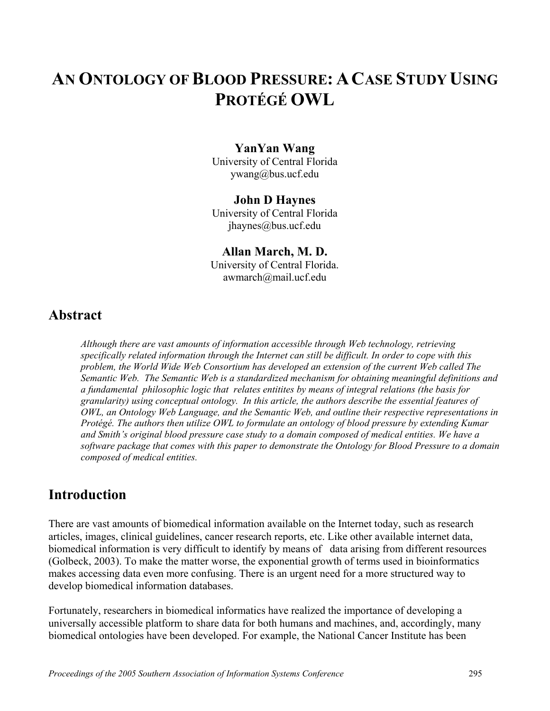# **AN ONTOLOGY OFBLOOD PRESSURE: ACASE STUDY USING PROTÉGÉ OWL**

#### **YanYan Wang**

University of Central Florida ywang@bus.ucf.edu

#### **John D Haynes**

University of Central Florida jhaynes@bus.ucf.edu

### **Allan March, M. D.**  University of Central Florida.

awmarch@mail.ucf.edu

#### **Abstract**

*Although there are vast amounts of information accessible through Web technology, retrieving specifically related information through the Internet can still be difficult. In order to cope with this problem, the World Wide Web Consortium has developed an extension of the current Web called The Semantic Web. The Semantic Web is a standardized mechanism for obtaining meaningful definitions and a fundamental philosophic logic that relates entitites by means of integral relations (the basis for granularity) using conceptual ontology. In this article, the authors describe the essential features of OWL, an Ontology Web Language, and the Semantic Web, and outline their respective representations in Protégé. The authors then utilize OWL to formulate an ontology of blood pressure by extending Kumar and Smith's original blood pressure case study to a domain composed of medical entities. We have a software package that comes with this paper to demonstrate the Ontology for Blood Pressure to a domain composed of medical entities.* 

### **Introduction**

There are vast amounts of biomedical information available on the Internet today, such as research articles, images, clinical guidelines, cancer research reports, etc. Like other available internet data, biomedical information is very difficult to identify by means of data arising from different resources (Golbeck, 2003). To make the matter worse, the exponential growth of terms used in bioinformatics makes accessing data even more confusing. There is an urgent need for a more structured way to develop biomedical information databases.

Fortunately, researchers in biomedical informatics have realized the importance of developing a universally accessible platform to share data for both humans and machines, and, accordingly, many biomedical ontologies have been developed. For example, the National Cancer Institute has been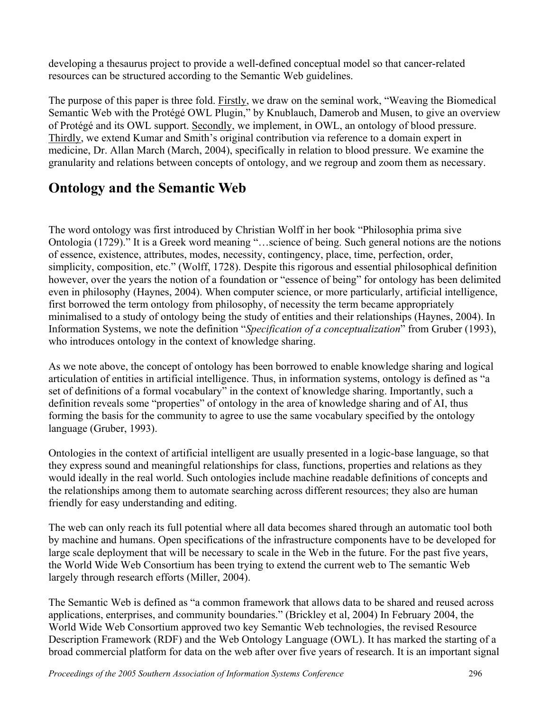developing a thesaurus project to provide a well-defined conceptual model so that cancer-related resources can be structured according to the Semantic Web guidelines.

The purpose of this paper is three fold. Firstly, we draw on the seminal work, "Weaving the Biomedical Semantic Web with the Protégé OWL Plugin," by Knublauch, Damerob and Musen, to give an overview of Protégé and its OWL support. Secondly, we implement, in OWL, an ontology of blood pressure. Thirdly, we extend Kumar and Smith's original contribution via reference to a domain expert in medicine, Dr. Allan March (March, 2004), specifically in relation to blood pressure. We examine the granularity and relations between concepts of ontology, and we regroup and zoom them as necessary.

# **Ontology and the Semantic Web**

The word ontology was first introduced by Christian Wolff in her book "Philosophia prima sive Ontologia (1729)." It is a Greek word meaning "…science of being. Such general notions are the notions of essence, existence, attributes, modes, necessity, contingency, place, time, perfection, order, simplicity, composition, etc." (Wolff, 1728). Despite this rigorous and essential philosophical definition however, over the years the notion of a foundation or "essence of being" for ontology has been delimited even in philosophy (Haynes, 2004). When computer science, or more particularly, artificial intelligence, first borrowed the term ontology from philosophy, of necessity the term became appropriately minimalised to a study of ontology being the study of entities and their relationships (Haynes, 2004). In Information Systems, we note the definition "*Specification of a conceptualization*" from Gruber (1993), who introduces ontology in the context of knowledge sharing.

As we note above, the concept of ontology has been borrowed to enable knowledge sharing and logical articulation of entities in artificial intelligence. Thus, in information systems, ontology is defined as "a set of definitions of a formal vocabulary" in the context of knowledge sharing. Importantly, such a definition reveals some "properties" of ontology in the area of knowledge sharing and of AI, thus forming the basis for the community to agree to use the same vocabulary specified by the ontology language (Gruber, 1993).

Ontologies in the context of artificial intelligent are usually presented in a logic-base language, so that they express sound and meaningful relationships for class, functions, properties and relations as they would ideally in the real world. Such ontologies include machine readable definitions of concepts and the relationships among them to automate searching across different resources; they also are human friendly for easy understanding and editing.

The web can only reach its full potential where all data becomes shared through an automatic tool both by machine and humans. Open specifications of the infrastructure components have to be developed for large scale deployment that will be necessary to scale in the Web in the future. For the past five years, the World Wide Web Consortium has been trying to extend the current web to The semantic Web largely through research efforts (Miller, 2004).

The Semantic Web is defined as "a common framework that allows data to be shared and reused across applications, enterprises, and community boundaries." (Brickley et al, 2004) In February 2004, the World Wide Web Consortium approved two key Semantic Web technologies, the revised Resource Description Framework (RDF) and the Web Ontology Language (OWL). It has marked the starting of a broad commercial platform for data on the web after over five years of research. It is an important signal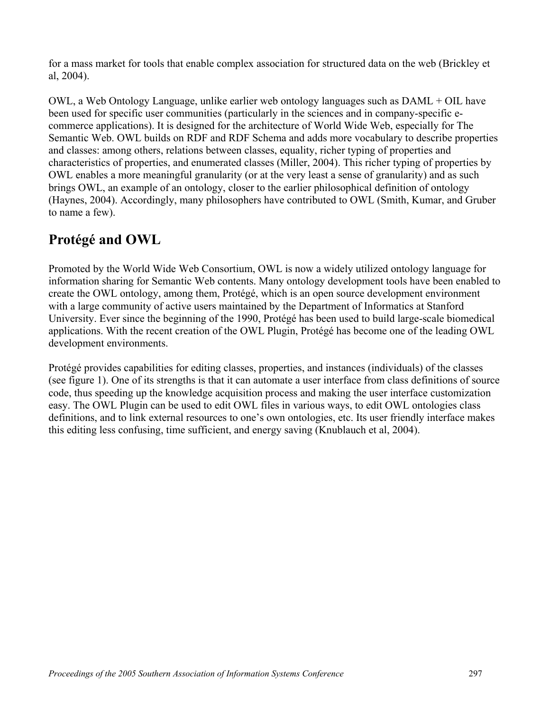for a mass market for tools that enable complex association for structured data on the web (Brickley et al, 2004).

OWL, a Web Ontology Language, unlike earlier web ontology languages such as DAML + OIL have been used for specific user communities (particularly in the sciences and in company-specific ecommerce applications). It is designed for the architecture of World Wide Web, especially for The Semantic Web. OWL builds on RDF and RDF Schema and adds more vocabulary to describe properties and classes: among others, relations between classes, equality, richer typing of properties and characteristics of properties, and enumerated classes (Miller, 2004). This richer typing of properties by OWL enables a more meaningful granularity (or at the very least a sense of granularity) and as such brings OWL, an example of an ontology, closer to the earlier philosophical definition of ontology (Haynes, 2004). Accordingly, many philosophers have contributed to OWL (Smith, Kumar, and Gruber to name a few).

## **Protégé and OWL**

Promoted by the World Wide Web Consortium, OWL is now a widely utilized ontology language for information sharing for Semantic Web contents. Many ontology development tools have been enabled to create the OWL ontology, among them, Protégé, which is an open source development environment with a large community of active users maintained by the Department of Informatics at Stanford University. Ever since the beginning of the 1990, Protégé has been used to build large-scale biomedical applications. With the recent creation of the OWL Plugin, Protégé has become one of the leading OWL development environments.

Protégé provides capabilities for editing classes, properties, and instances (individuals) of the classes (see figure 1). One of its strengths is that it can automate a user interface from class definitions of source code, thus speeding up the knowledge acquisition process and making the user interface customization easy. The OWL Plugin can be used to edit OWL files in various ways, to edit OWL ontologies class definitions, and to link external resources to one's own ontologies, etc. Its user friendly interface makes this editing less confusing, time sufficient, and energy saving (Knublauch et al, 2004).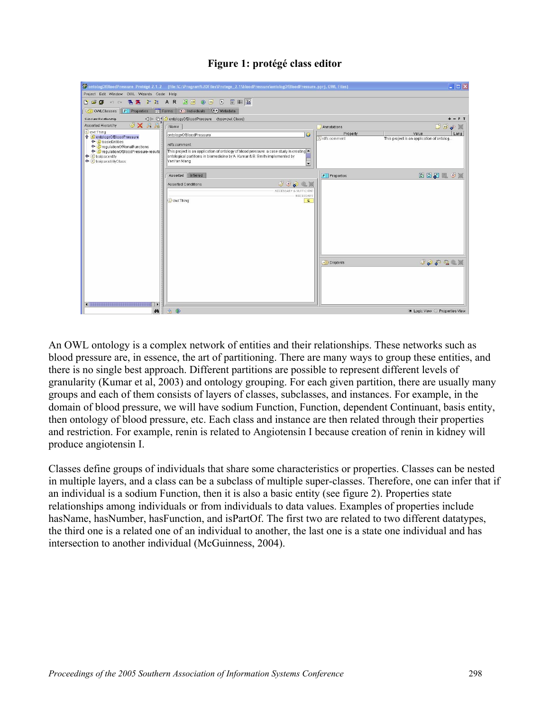

#### **Figure 1: protégé class editor**

An OWL ontology is a complex network of entities and their relationships. These networks such as blood pressure are, in essence, the art of partitioning. There are many ways to group these entities, and there is no single best approach. Different partitions are possible to represent different levels of granularity (Kumar et al, 2003) and ontology grouping. For each given partition, there are usually many groups and each of them consists of layers of classes, subclasses, and instances. For example, in the domain of blood pressure, we will have sodium Function, Function, dependent Continuant, basis entity, then ontology of blood pressure, etc. Each class and instance are then related through their properties and restriction. For example, renin is related to Angiotensin I because creation of renin in kidney will produce angiotensin I.

Classes define groups of individuals that share some characteristics or properties. Classes can be nested in multiple layers, and a class can be a subclass of multiple super-classes. Therefore, one can infer that if an individual is a sodium Function, then it is also a basic entity (see figure 2). Properties state relationships among individuals or from individuals to data values. Examples of properties include hasName, hasNumber, hasFunction, and isPartOf. The first two are related to two different datatypes, the third one is a related one of an individual to another, the last one is a state one individual and has intersection to another individual (McGuinness, 2004).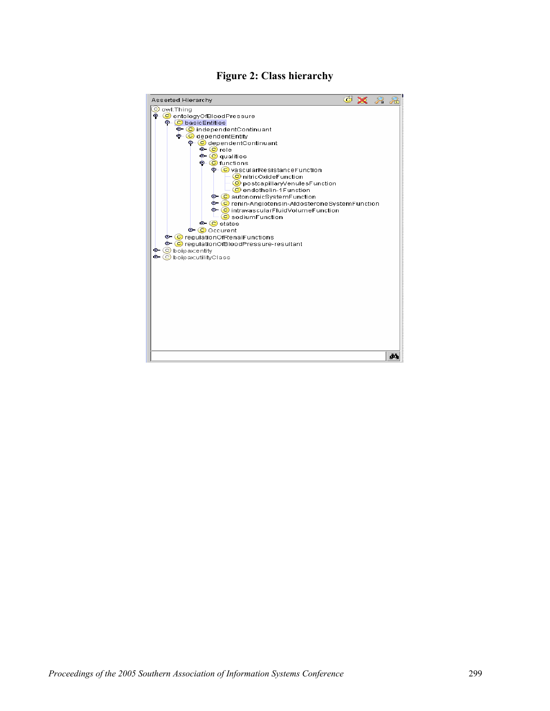

#### **Figure 2: Class hierarchy**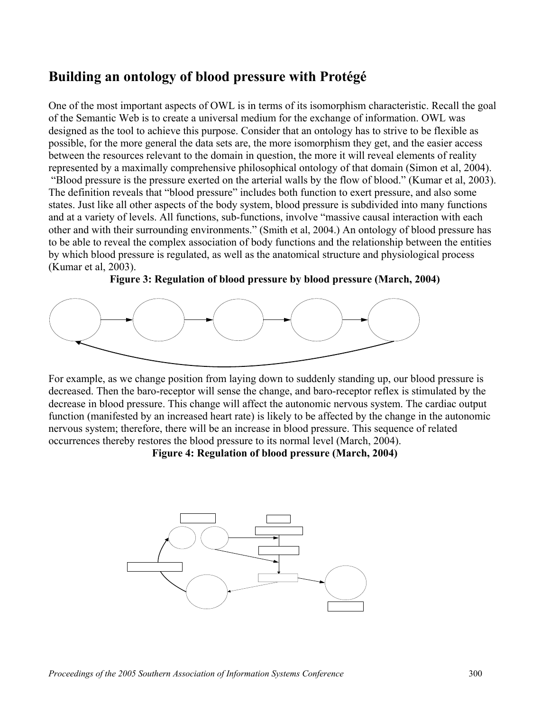## **Building an ontology of blood pressure with Protégé**

One of the most important aspects of OWL is in terms of its isomorphism characteristic. Recall the goal of the Semantic Web is to create a universal medium for the exchange of information. OWL was designed as the tool to achieve this purpose. Consider that an ontology has to strive to be flexible as possible, for the more general the data sets are, the more isomorphism they get, and the easier access between the resources relevant to the domain in question, the more it will reveal elements of reality represented by a maximally comprehensive philosophical ontology of that domain (Simon et al, 2004). "Blood pressure is the pressure exerted on the arterial walls by the flow of blood." (Kumar et al, 2003). The definition reveals that "blood pressure" includes both function to exert pressure, and also some states. Just like all other aspects of the body system, blood pressure is subdivided into many functions and at a variety of levels. All functions, sub-functions, involve "massive causal interaction with each other and with their surrounding environments." (Smith et al, 2004.) An ontology of blood pressure has to be able to reveal the complex association of body functions and the relationship between the entities by which blood pressure is regulated, as well as the anatomical structure and physiological process (Kumar et al, 2003).





For example, as we change position from laying down to suddenly standing up, our blood pressure is decreased. Then the baro-receptor will sense the change, and baro-receptor reflex is stimulated by the decrease in blood pressure. This change will affect the autonomic nervous system. The cardiac output function (manifested by an increased heart rate) is likely to be affected by the change in the autonomic nervous system; therefore, there will be an increase in blood pressure. This sequence of related occurrences thereby restores the blood pressure to its normal level (March, 2004).

**Figure 4: Regulation of blood pressure (March, 2004)** 

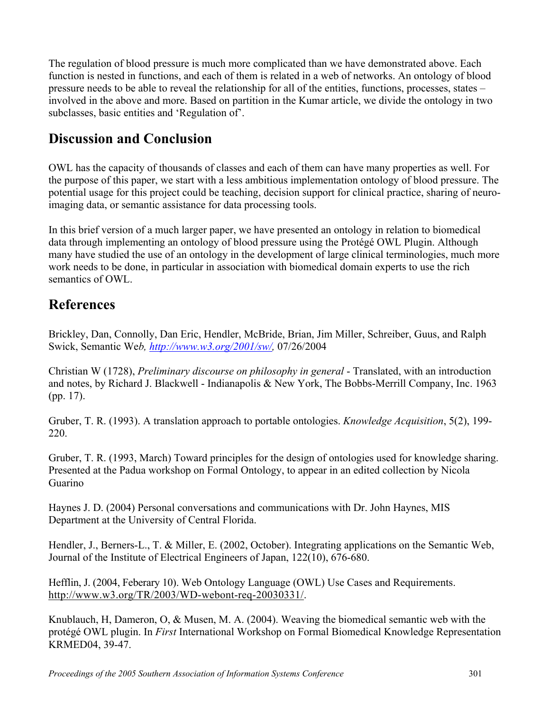The regulation of blood pressure is much more complicated than we have demonstrated above. Each function is nested in functions, and each of them is related in a web of networks. An ontology of blood pressure needs to be able to reveal the relationship for all of the entities, functions, processes, states – involved in the above and more. Based on partition in the Kumar article, we divide the ontology in two subclasses, basic entities and 'Regulation of'.

# **Discussion and Conclusion**

OWL has the capacity of thousands of classes and each of them can have many properties as well. For the purpose of this paper, we start with a less ambitious implementation ontology of blood pressure. The potential usage for this project could be teaching, decision support for clinical practice, sharing of neuroimaging data, or semantic assistance for data processing tools.

In this brief version of a much larger paper, we have presented an ontology in relation to biomedical data through implementing an ontology of blood pressure using the Protégé OWL Plugin. Although many have studied the use of an ontology in the development of large clinical terminologies, much more work needs to be done, in particular in association with biomedical domain experts to use the rich semantics of OWL.

# **References**

Brickley, Dan, Connolly, Dan Eric, Hendler, McBride, Brian, Jim Miller, Schreiber, Guus, and Ralph Swick, Semantic We*b,<http://www.w3.org/2001/sw/>,* 07/26/2004

Christian W (1728), *Preliminary discourse on philosophy in general* - Translated, with an introduction and notes, by Richard J. Blackwell - Indianapolis & New York, The Bobbs-Merrill Company, Inc. 1963 (pp. 17).

Gruber, T. R. (1993). A translation approach to portable ontologies. *Knowledge Acquisition*, 5(2), 199- 220.

Gruber, T. R. (1993, March) Toward principles for the design of ontologies used for knowledge sharing. Presented at the Padua workshop on Formal Ontology, to appear in an edited collection by Nicola Guarino

Haynes J. D. (2004) Personal conversations and communications with Dr. John Haynes, MIS Department at the University of Central Florida.

Hendler, J., Berners-L., T. & Miller, E. (2002, October). Integrating applications on the Semantic Web, Journal of the Institute of Electrical Engineers of Japan, 122(10), 676-680.

Hefflin, J. (2004, Feberary 10). Web Ontology Language (OWL) Use Cases and Requirements. <http://www.w3.org/TR/2003/WD-webont-req-20030331/>.

Knublauch, H, Dameron, O, & Musen, M. A. (2004). Weaving the biomedical semantic web with the protégé OWL plugin. In *First* International Workshop on Formal Biomedical Knowledge Representation KRMED04, 39-47.